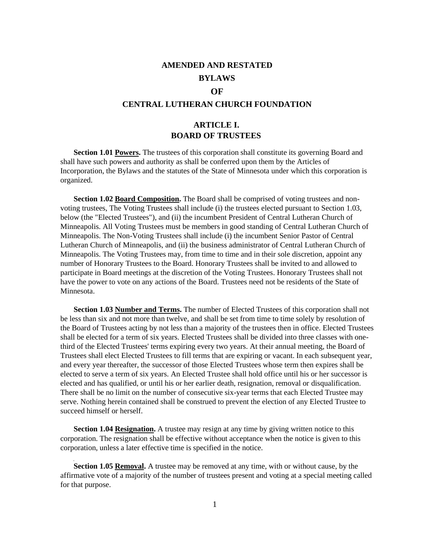# **AMENDED AND RESTATED BYLAWS**

#### **OF**

#### **CENTRAL LUTHERAN CHURCH FOUNDATION**

## **ARTICLE I. BOARD OF TRUSTEES**

**Section 1.01 Powers.** The trustees of this corporation shall constitute its governing Board and shall have such powers and authority as shall be conferred upon them by the Articles of Incorporation, the Bylaws and the statutes of the State of Minnesota under which this corporation is organized.

**Section 1.02 Board Composition.** The Board shall be comprised of voting trustees and nonvoting trustees, The Voting Trustees shall include (i) the trustees elected pursuant to Section 1.03, below (the "Elected Trustees"), and (ii) the incumbent President of Central Lutheran Church of Minneapolis. All Voting Trustees must be members in good standing of Central Lutheran Church of Minneapolis. The Non-Voting Trustees shall include (i) the incumbent Senior Pastor of Central Lutheran Church of Minneapolis, and (ii) the business administrator of Central Lutheran Church of Minneapolis. The Voting Trustees may, from time to time and in their sole discretion, appoint any number of Honorary Trustees to the Board. Honorary Trustees shall be invited to and allowed to participate in Board meetings at the discretion of the Voting Trustees. Honorary Trustees shall not have the power to vote on any actions of the Board. Trustees need not be residents of the State of Minnesota.

**Section 1.03 Number and Terms.** The number of Elected Trustees of this corporation shall not be less than six and not more than twelve, and shall be set from time to time solely by resolution of the Board of Trustees acting by not less than a majority of the trustees then in office. Elected Trustees shall be elected for a term of six years. Elected Trustees shall be divided into three classes with onethird of the Elected Trustees' terms expiring every two years. At their annual meeting, the Board of Trustees shall elect Elected Trustees to fill terms that are expiring or vacant. In each subsequent year, and every year thereafter, the successor of those Elected Trustees whose term then expires shall be elected to serve a term of six years. An Elected Trustee shall hold office until his or her successor is elected and has qualified, or until his or her earlier death, resignation, removal or disqualification. There shall be no limit on the number of consecutive six-year terms that each Elected Trustee may serve. Nothing herein contained shall be construed to prevent the election of any Elected Trustee to succeed himself or herself.

**Section 1.04 Resignation.** A trustee may resign at any time by giving written notice to this corporation. The resignation shall be effective without acceptance when the notice is given to this corporation, unless a later effective time is specified in the notice.

**Section 1.05 Removal.** A trustee may be removed at any time, with or without cause, by the affirmative vote of a majority of the number of trustees present and voting at a special meeting called for that purpose.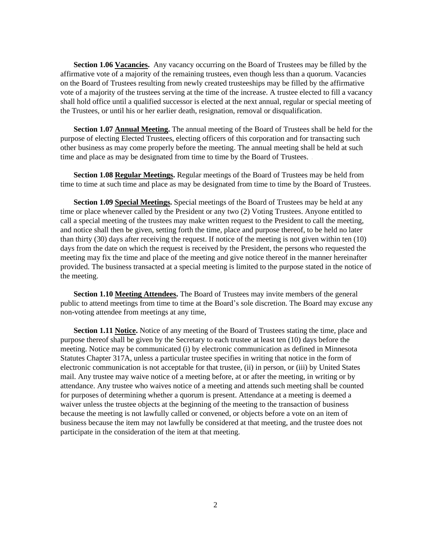Section 1.06 Vacancies. Any vacancy occurring on the Board of Trustees may be filled by the affirmative vote of a majority of the remaining trustees, even though less than a quorum. Vacancies on the Board of Trustees resulting from newly created trusteeships may be filled by the affirmative vote of a majority of the trustees serving at the time of the increase. A trustee elected to fill a vacancy shall hold office until a qualified successor is elected at the next annual, regular or special meeting of the Trustees, or until his or her earlier death, resignation, removal or disqualification.

**Section 1.07 Annual Meeting.** The annual meeting of the Board of Trustees shall be held for the purpose of electing Elected Trustees, electing officers of this corporation and for transacting such other business as may come properly before the meeting. The annual meeting shall be held at such time and place as may be designated from time to time by the Board of Trustees.

**Section 1.08 Regular Meetings.** Regular meetings of the Board of Trustees may be held from time to time at such time and place as may be designated from time to time by the Board of Trustees.

**Section 1.09 Special Meetings.** Special meetings of the Board of Trustees may be held at any time or place whenever called by the President or any two (2) Voting Trustees. Anyone entitled to call a special meeting of the trustees may make written request to the President to call the meeting, and notice shall then be given, setting forth the time, place and purpose thereof, to be held no later than thirty (30) days after receiving the request. If notice of the meeting is not given within ten (10) days from the date on which the request is received by the President, the persons who requested the meeting may fix the time and place of the meeting and give notice thereof in the manner hereinafter provided. The business transacted at a special meeting is limited to the purpose stated in the notice of the meeting.

**Section 1.10 Meeting Attendees.** The Board of Trustees may invite members of the general public to attend meetings from time to time at the Board's sole discretion. The Board may excuse any non-voting attendee from meetings at any time,

**Section 1.11 Notice.** Notice of any meeting of the Board of Trustees stating the time, place and purpose thereof shall be given by the Secretary to each trustee at least ten (10) days before the meeting. Notice may be communicated (i) by electronic communication as defined in Minnesota Statutes Chapter 317A, unless a particular trustee specifies in writing that notice in the form of electronic communication is not acceptable for that trustee, (ii) in person, or (iii) by United States mail. Any trustee may waive notice of a meeting before, at or after the meeting, in writing or by attendance. Any trustee who waives notice of a meeting and attends such meeting shall be counted for purposes of determining whether a quorum is present. Attendance at a meeting is deemed a waiver unless the trustee objects at the beginning of the meeting to the transaction of business because the meeting is not lawfully called or convened, or objects before a vote on an item of business because the item may not lawfully be considered at that meeting, and the trustee does not participate in the consideration of the item at that meeting.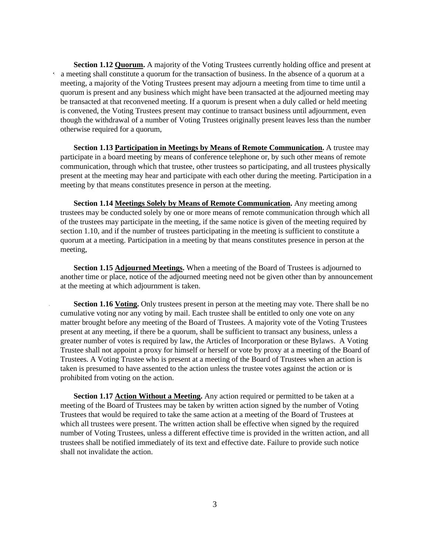Section 1.12 **Quorum.** A majority of the Voting Trustees currently holding office and present at  $\lambda$  a meeting shall constitute a quorum for the transaction of business. In the absence of a quorum at a meeting, a majority of the Voting Trustees present may adjourn a meeting from time to time until a quorum is present and any business which might have been transacted at the adjourned meeting may be transacted at that reconvened meeting. If a quorum is present when a duly called or held meeting is convened, the Voting Trustees present may continue to transact business until adjournment, even though the withdrawal of a number of Voting Trustees originally present leaves less than the number otherwise required for a quorum,

**Section 1.13 Participation in Meetings by Means of Remote Communication.** A trustee may participate in a board meeting by means of conference telephone or, by such other means of remote communication, through which that trustee, other trustees so participating, and all trustees physically present at the meeting may hear and participate with each other during the meeting. Participation in a meeting by that means constitutes presence in person at the meeting.

**Section 1.14 Meetings Solely by Means of Remote Communication.** Any meeting among trustees may be conducted solely by one or more means of remote communication through which all of the trustees may participate in the meeting, if the same notice is given of the meeting required by section 1.10, and if the number of trustees participating in the meeting is sufficient to constitute a quorum at a meeting. Participation in a meeting by that means constitutes presence in person at the meeting,

**Section 1.15 Adjourned Meetings.** When a meeting of the Board of Trustees is adjourned to another time or place, notice of the adjourned meeting need not be given other than by announcement at the meeting at which adjournment is taken.

**Section 1.16 Voting.** Only trustees present in person at the meeting may vote. There shall be no cumulative voting nor any voting by mail. Each trustee shall be entitled to only one vote on any matter brought before any meeting of the Board of Trustees. A majority vote of the Voting Trustees present at any meeting, if there be a quorum, shall be sufficient to transact any business, unless a greater number of votes is required by law, the Articles of Incorporation or these Bylaws. A Voting Trustee shall not appoint a proxy for himself or herself or vote by proxy at a meeting of the Board of Trustees. A Voting Trustee who is present at a meeting of the Board of Trustees when an action is taken is presumed to have assented to the action unless the trustee votes against the action or is prohibited from voting on the action.

**Section 1.17 Action Without a Meeting.** Any action required or permitted to be taken at a meeting of the Board of Trustees may be taken by written action signed by the number of Voting Trustees that would be required to take the same action at a meeting of the Board of Trustees at which all trustees were present. The written action shall be effective when signed by the required number of Voting Trustees, unless a different effective time is provided in the written action, and all trustees shall be notified immediately of its text and effective date. Failure to provide such notice shall not invalidate the action.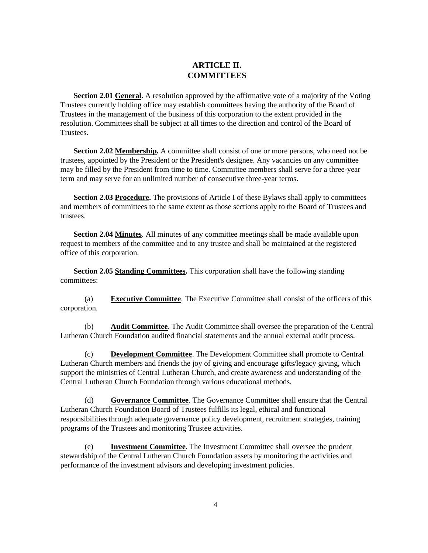# **ARTICLE II. COMMITTEES**

**Section 2.01 General.** A resolution approved by the affirmative vote of a majority of the Voting Trustees currently holding office may establish committees having the authority of the Board of Trustees in the management of the business of this corporation to the extent provided in the resolution. Committees shall be subject at all times to the direction and control of the Board of Trustees.

**Section 2.02 Membership.** A committee shall consist of one or more persons, who need not be trustees, appointed by the President or the President's designee. Any vacancies on any committee may be filled by the President from time to time. Committee members shall serve for a three-year term and may serve for an unlimited number of consecutive three-year terms.

**Section 2.03 Procedure.** The provisions of Article I of these Bylaws shall apply to committees and members of committees to the same extent as those sections apply to the Board of Trustees and trustees.

**Section 2.04 Minutes**. All minutes of any committee meetings shall be made available upon request to members of the committee and to any trustee and shall be maintained at the registered office of this corporation.

**Section 2.05 Standing Committees.** This corporation shall have the following standing committees:

(a) **Executive Committee**. The Executive Committee shall consist of the officers of this corporation.

(b) **Audit Committee**. The Audit Committee shall oversee the preparation of the Central Lutheran Church Foundation audited financial statements and the annual external audit process.

(c) **Development Committee**. The Development Committee shall promote to Central Lutheran Church members and friends the joy of giving and encourage gifts/legacy giving, which support the ministries of Central Lutheran Church, and create awareness and understanding of the Central Lutheran Church Foundation through various educational methods.

(d) **Governance Committee**. The Governance Committee shall ensure that the Central Lutheran Church Foundation Board of Trustees fulfills its legal, ethical and functional responsibilities through adequate governance policy development, recruitment strategies, training programs of the Trustees and monitoring Trustee activities.

(e) **Investment Committee**. The Investment Committee shall oversee the prudent stewardship of the Central Lutheran Church Foundation assets by monitoring the activities and performance of the investment advisors and developing investment policies.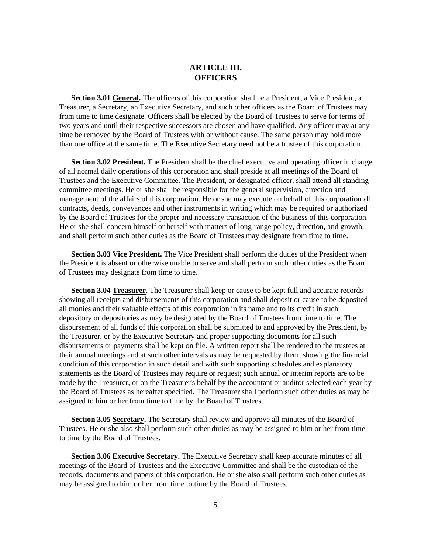### **ARTICLE III. OFFICERS**

**Section 3.01 General.** The officers of this corporation shall be a President, a Vice President, a Treasurer, a Secretary, an Executive Secretary, and such other officers as the Board of Trustees may from time to time designate. Officers shall be elected by the Board of Trustees to serve for terms of two years and until their respective successors are chosen and have qualified. Any officer may at any time be removed by the Board of Trustees with or without cause. The same person may hold more than one office at the same time. The Executive Secretary need not be a trustee of this corporation.

**Section 3.02 President.** The President shall be the chief executive and operating officer in charge of all normal daily operations of this corporation and shall preside at all meetings of the Board of Trustees and the Executive Committee. The President, or designated officer, shall attend all standing committee meetings. He or she shall be responsible for the general supervision, direction and management of the affairs of this corporation. He or she may execute on behalf of this corporation all contracts, deeds, conveyances and other instruments in writing which may be required or authorized by the Board of Trustees for the proper and necessary transaction of the business of this corporation. He or she shall concern himself or herself with matters of long-range policy, direction, and growth, and shall perform such other duties as the Board of Trustees may designate from time to time.

**Section 3.03 Vice President.** The Vice President shall perform the duties of the President when the President is absent or otherwise unable to serve and shall perform such other duties as the Board of Trustees may designate from time to time.

**Section 3.04 Treasurer.** The Treasurer shall keep or cause to be kept full and accurate records showing all receipts and disbursements of this corporation and shall deposit or cause to be deposited all monies and their valuable effects of this corporation in its name and to its credit in such depository or depositories as may be designated by the Board of Trustees from time to time. The disbursement of all funds of this corporation shall be submitted to and approved by the President, by the Treasurer, or by the Executive Secretary and proper supporting documents for all such disbursements or payments shall be kept on file. A written report shall be rendered to the trustees at their annual meetings and at such other intervals as may be requested by them, showing the financial condition of this corporation in such detail and with such supporting schedules and explanatory statements as the Board of Trustees may require or request; such annual or interim reports are to be made by the Treasurer, or on the Treasurer's behalf by the accountant or auditor selected each year by the Board of Trustees as hereafter specified. The Treasurer shall perform such other duties as may be assigned to him or her from time to time by the Board of Trustees.

**Section 3.05 Secretary.** The Secretary shall review and approve all minutes of the Board of Trustees. He or she also shall perform such other duties as may be assigned to him or her from time to time by the Board of Trustees.

**Section 3.06 Executive Secretary.** The Executive Secretary shall keep accurate minutes of all meetings of the Board of Trustees and the Executive Committee and shall be the custodian of the records, documents and papers of this corporation. He or she also shall perform such other duties as may be assigned to him or her from time to time by the Board of Trustees.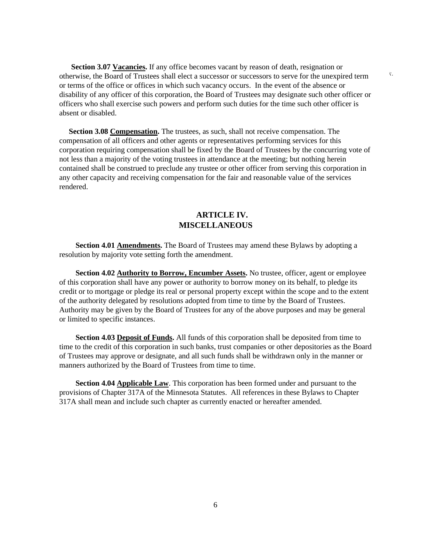**Section 3.07 Vacancies.** If any office becomes vacant by reason of death, resignation or otherwise, the Board of Trustees shall elect a successor or successors to serve for the unexpired term or terms of the office or offices in which such vacancy occurs. In the event of the absence or disability of any officer of this corporation, the Board of Trustees may designate such other officer or officers who shall exercise such powers and perform such duties for the time such other officer is absent or disabled.

x.

 **Section 3.08 Compensation.** The trustees, as such, shall not receive compensation. The compensation of all officers and other agents or representatives performing services for this corporation requiring compensation shall be fixed by the Board of Trustees by the concurring vote of not less than a majority of the voting trustees in attendance at the meeting; but nothing herein contained shall be construed to preclude any trustee or other officer from serving this corporation in any other capacity and receiving compensation for the fair and reasonable value of the services rendered.

### **ARTICLE IV. MISCELLANEOUS**

**Section 4.01 Amendments.** The Board of Trustees may amend these Bylaws by adopting a resolution by majority vote setting forth the amendment.

**Section 4.02 Authority to Borrow, Encumber Assets.** No trustee, officer, agent or employee of this corporation shall have any power or authority to borrow money on its behalf, to pledge its credit or to mortgage or pledge its real or personal property except within the scope and to the extent of the authority delegated by resolutions adopted from time to time by the Board of Trustees. Authority may be given by the Board of Trustees for any of the above purposes and may be general or limited to specific instances.

**Section 4.03 Deposit of Funds.** All funds of this corporation shall be deposited from time to time to the credit of this corporation in such banks, trust companies or other depositories as the Board of Trustees may approve or designate, and all such funds shall be withdrawn only in the manner or manners authorized by the Board of Trustees from time to time.

**Section 4.04 Applicable Law**. This corporation has been formed under and pursuant to the provisions of Chapter 317A of the Minnesota Statutes. All references in these Bylaws to Chapter 317A shall mean and include such chapter as currently enacted or hereafter amended.